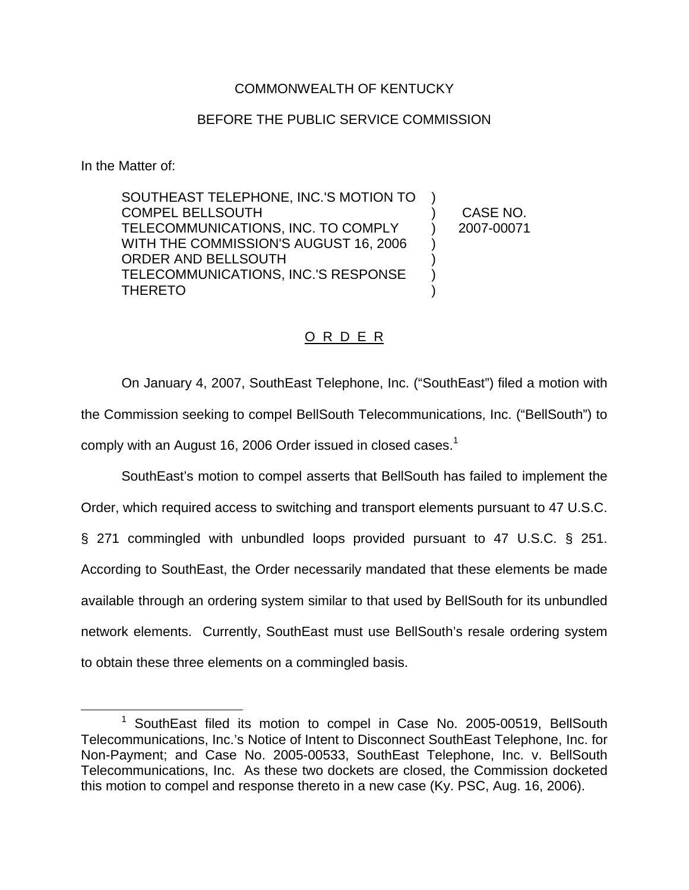## COMMONWEALTH OF KENTUCKY

## BEFORE THE PUBLIC SERVICE COMMISSION

In the Matter of:

SOUTHEAST TELEPHONE, INC.'S MOTION TO COMPEL BELLSOUTH TELECOMMUNICATIONS, INC. TO COMPLY WITH THE COMMISSION'S AUGUST 16, 2006 ORDER AND BELLSOUTH TELECOMMUNICATIONS, INC.'S RESPONSE THERETO ) ) CASE NO. ) 2007-00071 ) ) ) )

## O R D E R

On January 4, 2007, SouthEast Telephone, Inc. ("SouthEast") filed a motion with the Commission seeking to compel BellSouth Telecommunications, Inc. ("BellSouth") to comply with an August 16, 2006 Order issued in closed cases.<sup>1</sup>

SouthEast's motion to compel asserts that BellSouth has failed to implement the Order, which required access to switching and transport elements pursuant to 47 U.S.C. § 271 commingled with unbundled loops provided pursuant to 47 U.S.C. § 251. According to SouthEast, the Order necessarily mandated that these elements be made available through an ordering system similar to that used by BellSouth for its unbundled network elements. Currently, SouthEast must use BellSouth's resale ordering system to obtain these three elements on a commingled basis.

<sup>&</sup>lt;sup>1</sup> SouthEast filed its motion to compel in Case No. 2005-00519, BellSouth Telecommunications, Inc.'s Notice of Intent to Disconnect SouthEast Telephone, Inc. for Non-Payment; and Case No. 2005-00533, SouthEast Telephone, Inc. v. BellSouth Telecommunications, Inc. As these two dockets are closed, the Commission docketed this motion to compel and response thereto in a new case (Ky. PSC, Aug. 16, 2006).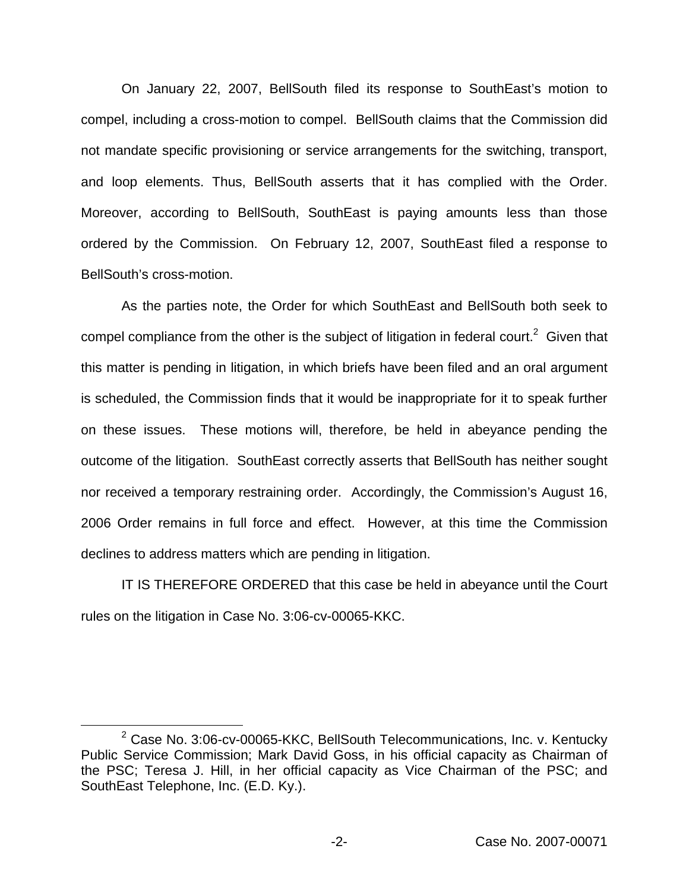On January 22, 2007, BellSouth filed its response to SouthEast's motion to compel, including a cross-motion to compel. BellSouth claims that the Commission did not mandate specific provisioning or service arrangements for the switching, transport, and loop elements. Thus, BellSouth asserts that it has complied with the Order. Moreover, according to BellSouth, SouthEast is paying amounts less than those ordered by the Commission. On February 12, 2007, SouthEast filed a response to BellSouth's cross-motion.

As the parties note, the Order for which SouthEast and BellSouth both seek to compel compliance from the other is the subject of litigation in federal court.<sup>2</sup> Given that this matter is pending in litigation, in which briefs have been filed and an oral argument is scheduled, the Commission finds that it would be inappropriate for it to speak further on these issues. These motions will, therefore, be held in abeyance pending the outcome of the litigation. SouthEast correctly asserts that BellSouth has neither sought nor received a temporary restraining order. Accordingly, the Commission's August 16, 2006 Order remains in full force and effect. However, at this time the Commission declines to address matters which are pending in litigation.

IT IS THEREFORE ORDERED that this case be held in abeyance until the Court rules on the litigation in Case No. 3:06-cv-00065-KKC.

 $2$  Case No. 3:06-cv-00065-KKC, BellSouth Telecommunications, Inc. v. Kentucky Public Service Commission; Mark David Goss, in his official capacity as Chairman of the PSC; Teresa J. Hill, in her official capacity as Vice Chairman of the PSC; and SouthEast Telephone, Inc. (E.D. Ky.).